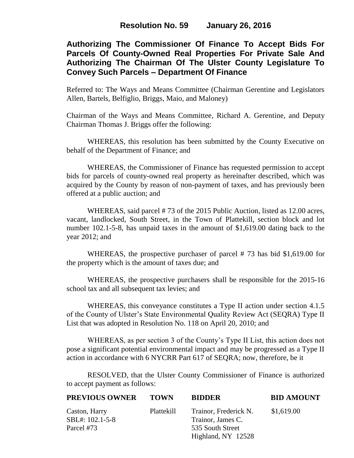# **Authorizing The Commissioner Of Finance To Accept Bids For Parcels Of County-Owned Real Properties For Private Sale And Authorizing The Chairman Of The Ulster County Legislature To Convey Such Parcels – Department Of Finance**

Referred to: The Ways and Means Committee (Chairman Gerentine and Legislators Allen, Bartels, Belfiglio, Briggs, Maio, and Maloney)

Chairman of the Ways and Means Committee, Richard A. Gerentine, and Deputy Chairman Thomas J. Briggs offer the following:

WHEREAS, this resolution has been submitted by the County Executive on behalf of the Department of Finance; and

WHEREAS, the Commissioner of Finance has requested permission to accept bids for parcels of county-owned real property as hereinafter described, which was acquired by the County by reason of non-payment of taxes, and has previously been offered at a public auction; and

WHEREAS, said parcel # 73 of the 2015 Public Auction, listed as 12.00 acres, vacant, landlocked, South Street, in the Town of Plattekill, section block and lot number 102.1-5-8, has unpaid taxes in the amount of \$1,619.00 dating back to the year 2012; and

WHEREAS, the prospective purchaser of parcel # 73 has bid \$1,619.00 for the property which is the amount of taxes due; and

WHEREAS, the prospective purchasers shall be responsible for the 2015-16 school tax and all subsequent tax levies; and

WHEREAS, this conveyance constitutes a Type II action under section 4.1.5 of the County of Ulster's State Environmental Quality Review Act (SEQRA) Type II List that was adopted in Resolution No. 118 on April 20, 2010; and

WHEREAS, as per section 3 of the County's Type II List, this action does not pose a significant potential environmental impact and may be progressed as a Type II action in accordance with 6 NYCRR Part 617 of SEQRA; now, therefore, be it

RESOLVED, that the Ulster County Commissioner of Finance is authorized to accept payment as follows:

| <b>PREVIOUS OWNER</b>            | <b>TOWN</b> | <b>BIDDER</b>                              | <b>BID AMOUNT</b> |
|----------------------------------|-------------|--------------------------------------------|-------------------|
| Caston, Harry<br>SBL#: 102.1-5-8 | Plattekill  | Trainor, Frederick N.<br>Trainor, James C. | \$1,619.00        |
| Parcel #73                       |             | 535 South Street                           |                   |
|                                  |             | Highland, NY 12528                         |                   |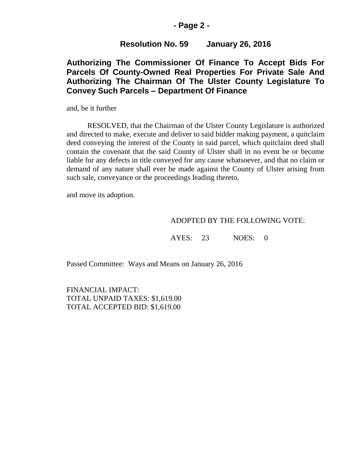### **- Page 2 -**

## **Resolution No. 59 January 26, 2016**

# **Authorizing The Commissioner Of Finance To Accept Bids For Parcels Of County-Owned Real Properties For Private Sale And Authorizing The Chairman Of The Ulster County Legislature To Convey Such Parcels – Department Of Finance**

and, be it further

RESOLVED, that the Chairman of the Ulster County Legislature is authorized and directed to make, execute and deliver to said bidder making payment, a quitclaim deed conveying the interest of the County in said parcel, which quitclaim deed shall contain the covenant that the said County of Ulster shall in no event be or become liable for any defects in title conveyed for any cause whatsoever, and that no claim or demand of any nature shall ever be made against the County of Ulster arising from such sale, conveyance or the proceedings leading thereto,

and move its adoption.

#### ADOPTED BY THE FOLLOWING VOTE:

AYES: 23 NOES: 0

Passed Committee: Ways and Means on January 26, 2016

FINANCIAL IMPACT: TOTAL UNPAID TAXES: \$1,619.00 TOTAL ACCEPTED BID: \$1,619.00